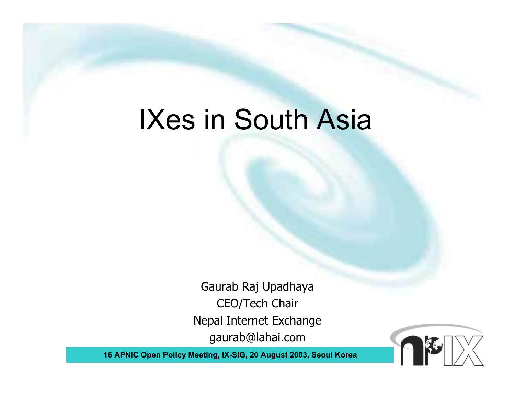#### IXes in South Asia

Gaurab Raj Upadhaya CEO/Tech Chair Nepal Internet Exchange gaurab@lahai.com

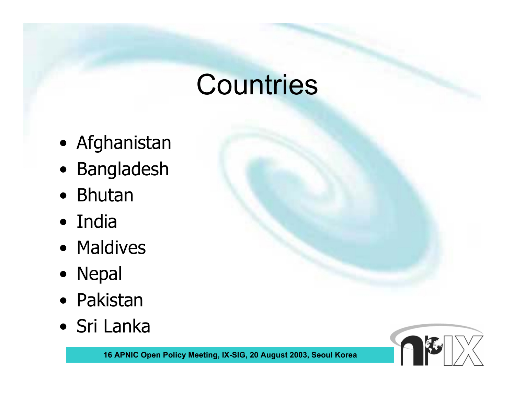#### **Countries**

- Afghanistan
- Bangladesh
- Bhutan
- India
- Maldives
- Nepal
- Pakistan
- Sri Lanka

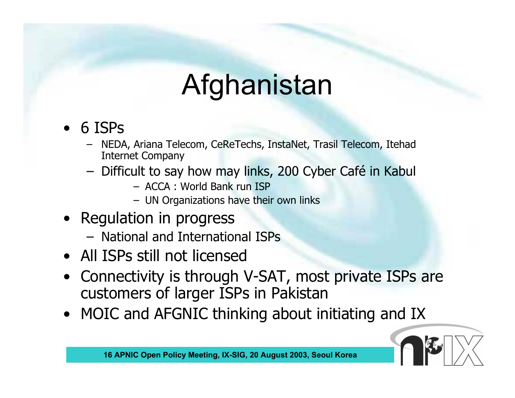# Afghanistan

- • 6 ISPs
	- NEDA, Ariana Telecom, CeReTechs, InstaNet, Trasil Telecom, Itehad Internet Company
	- Difficult to say how may links, 200 Cyber Café in Kabul
		- ACCA : World Bank run ISP
		- UN Organizations have their own links
- • Regulation in progress
	- National and International ISPs
- All ISPs still not licensed
- Connectivity is through V-SAT, most private ISPs are customers of larger ISPs in Pakistan
- $\bullet$ MOIC and AFGNIC thinking about initiating and IX

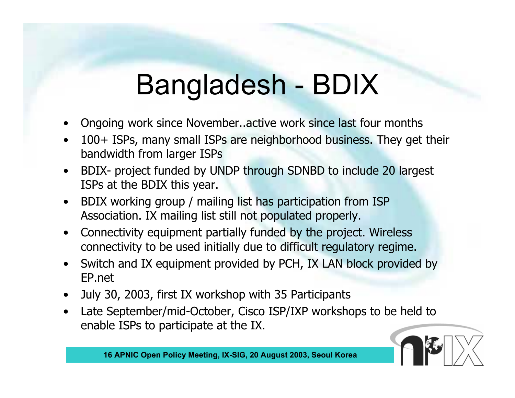## Bangladesh - BDIX

- •Ongoing work since November..active work since last four months
- • 100+ ISPs, many small ISPs are neighborhood business. They get their bandwidth from larger ISPs
- $\bullet$  BDIX- project funded by UNDP through SDNBD to include 20 largest ISPs at the BDIX this year.
- $\bullet$  BDIX working group / mailing list has participation from ISP Association. IX mailing list still not populated properly.
- $\bullet$  Connectivity equipment partially funded by the project. Wireless connectivity to be used initially due to difficult regulatory regime.
- $\bullet$  Switch and IX equipment provided by PCH, IX LAN block provided by EP.net
- $\bullet$ July 30, 2003, first IX workshop with 35 Participants
- $\bullet$  Late September/mid-October, Cisco ISP/IXP workshops to be held to enable ISPs to participate at the IX.

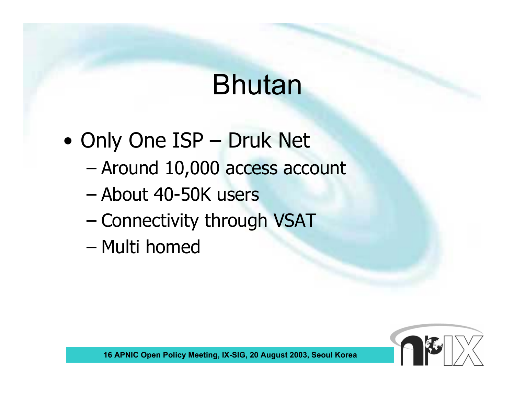## Bhutan

- • Only One ISP – Druk Net
	- –Around 10,000 access account
	- –About 40-50K users
	- Connectivity through VSAT
	- –Multi homed

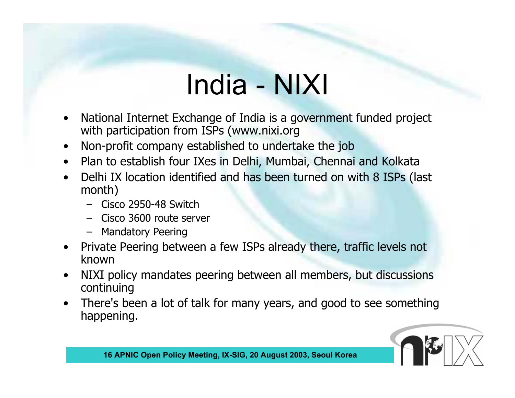# India - NIXI

- • National Internet Exchange of India is a government funded project with participation from ISPs (www.nixi.org
- •Non-profit company established to undertake the job
- Plan to establish four IXes in Delhi, Mumbai, Chennai and Kolkata
- $\bullet$  Delhi IX location identified and has been turned on with 8 ISPs (last month)
	- Cisco 2950-48 Switch
	- Cisco 3600 route server
	- Mandatory Peering
- $\bullet$  Private Peering between a few ISPs already there, traffic levels not known
- $\bullet$  NIXI policy mandates peering between all members, but discussions continuing
- • There's been a lot of talk for many years, and good to see something happening.

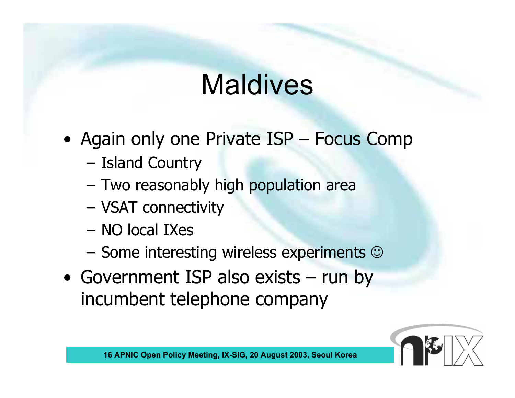# **Maldives**

- Again only one Private ISP Focus Comp
	- Island Country
	- Two reasonably high population area
	- VSAT connectivity
	- NO local IXes
	- Some interesting wireless experiments  $\odot$
- Government ISP also exists run by incumbent telephone company

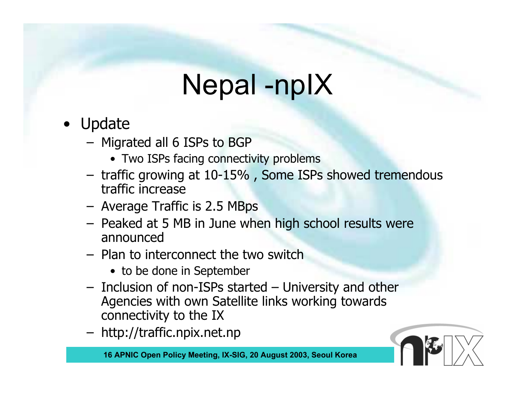#### Nepal -npIX

- • Update
	- Migrated all 6 ISPs to BGP
		- Two ISPs facing connectivity problems
	- traffic growing at 10-15% , Some ISPs showed tremendous traffic increase
	- Average Traffic is 2.5 MBps
	- Peaked at 5 MB in June when high school results were announced
	- Plan to interconnect the two switch
		- to be done in September
	- Inclusion of non-ISPs started University and other Agencies with own Satellite links working towards connectivity to the IX
	- http://traffic.npix.net.np

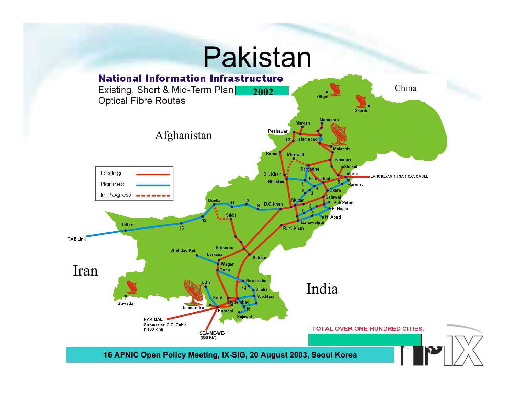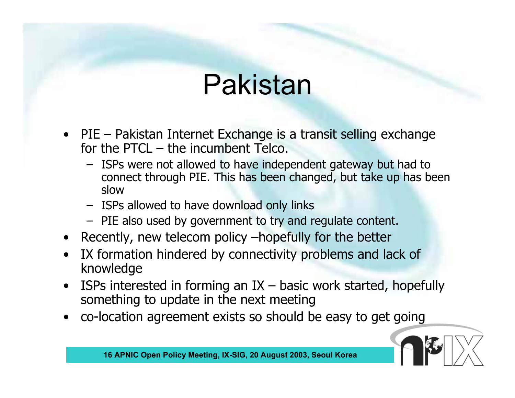## Pakistan

- PIE Pakistan Internet Exchange is a transit selling exchange for the PTCL – the incumbent Telco.
	- ISPs were not allowed to have independent gateway but had to connect through PIE. This has been changed, but take up has been slow
	- ISPs allowed to have download only links
	- PIE also used by government to try and regulate content.
- Recently, new telecom policy –hopefully for the better
- $\bullet$  IX formation hindered by connectivity problems and lack of knowledge
- $\bullet$ ISPs interested in forming an  $IX -$  basic work started, hopefully something to update in the next meeting
- $\bullet$ co-location agreement exists so should be easy to get going

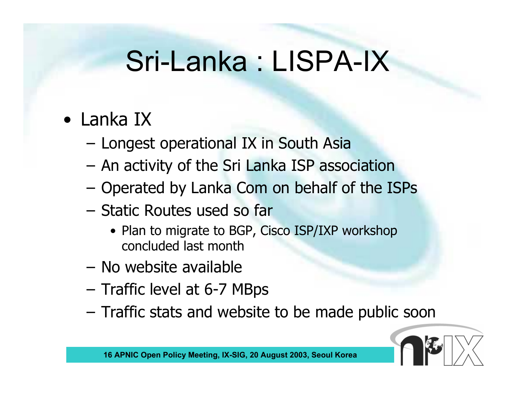#### Sri-Lanka : LISPA-IX

- Lanka IX
	- Longest operational IX in South Asia
	- An activity of the Sri Lanka ISP association
	- Operated by Lanka Com on behalf of the ISPs
	- Static Routes used so far
		- Plan to migrate to BGP, Cisco ISP/IXP workshop concluded last month
	- No website available
	- Traffic level at 6-7 MBps
	- Traffic stats and website to be made public soon